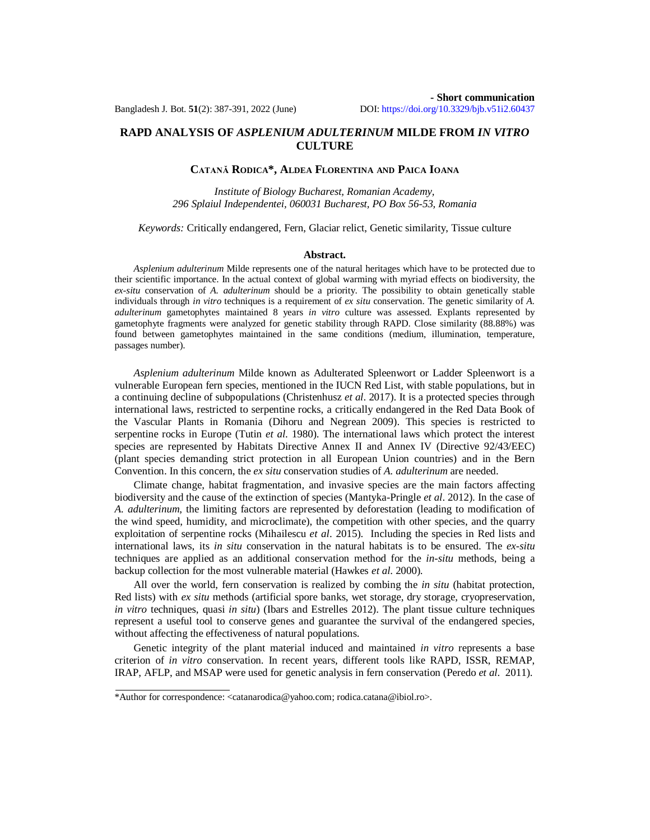# **RAPD ANALYSIS OF** *ASPLENIUM ADULTERINUM* **MILDE FROM** *IN VITRO* **CULTURE**

## **CATANĂ RODICA\*, ALDEA FLORENTINA AND PAICA IOANA**

*Institute of Biology Bucharest, Romanian Academy, 296 Splaiul Independentei, 060031 Bucharest, PO Box 56-53, Romania*

*Keywords:* Critically endangered, Fern, Glaciar relict, Genetic similarity, Tissue culture

#### **Abstract.**

*Asplenium adulterinum* Milde represents one of the natural heritages which have to be protected due to their scientific importance. In the actual context of global warming with myriad effects on biodiversity, the *ex-situ* conservation of *A. adulterinum* should be a priority. The possibility to obtain genetically stable individuals through *in vitro* techniques is a requirement of *ex situ* conservation. The genetic similarity of *A. adulterinum* gametophytes maintained 8 years *in vitro* culture was assessed. Explants represented by gametophyte fragments were analyzed for genetic stability through RAPD. Close similarity (88.88%) was found between gametophytes maintained in the same conditions (medium, illumination, temperature, passages number).

*Asplenium adulterinum* Milde known as Adulterated Spleenwort or Ladder Spleenwort is a vulnerable European fern species, mentioned in the IUCN Red List, with stable populations, but in a continuing decline of subpopulations (Christenhusz *et al*. 2017). It is a protected species through international laws, restricted to serpentine rocks, a critically endangered in the Red Data Book of the Vascular Plants in Romania (Dihoru and Negrean 2009). This species is restricted to serpentine rocks in Europe (Tutin *et al*. 1980). The international laws which protect the interest species are represented by Habitats Directive Annex II and Annex IV (Directive 92/43/EEC) (plant species demanding strict protection in all European Union countries) and in the Bern Convention. In this concern, the *ex situ* conservation studies of *A. adulterinum* are needed.

Climate change, habitat fragmentation, and invasive species are the main factors affecting biodiversity and the cause of the extinction of species (Mantyka-Pringle *et al*. 2012). In the case of *A. adulterinum*, the limiting factors are represented by deforestation (leading to modification of the wind speed, humidity, and microclimate), the competition with other species, and the quarry exploitation of serpentine rocks (Mihailescu *et al*. 2015). Including the species in Red lists and international laws, its *in situ* conservation in the natural habitats is to be ensured. The *ex-situ* techniques are applied as an additional conservation method for the *in-situ* methods, being a backup collection for the most vulnerable material (Hawkes *et al*. 2000).

All over the world, fern conservation is realized by combing the *in situ* (habitat protection, Red lists) with *ex situ* methods (artificial spore banks, wet storage, dry storage, cryopreservation, *in vitro* techniques, quasi *in situ*) (Ibars and Estrelles 2012). The plant tissue culture techniques represent a useful tool to conserve genes and guarantee the survival of the endangered species, without affecting the effectiveness of natural populations.

Genetic integrity of the plant material induced and maintained *in vitro* represents a base criterion of *in vitro* conservation. In recent years, different tools like RAPD, ISSR, REMAP, IRAP, AFLP, and MSAP were used for genetic analysis in fern conservation (Peredo *et al*. 2011).

<sup>\*</sup>Author for correspondence: [<catanarodica@yahoo.com;](mailto:catanarodica@yahoo.com;) [rodica.catana@ibiol.ro>](mailto:rodica.catana@ibiol.ro).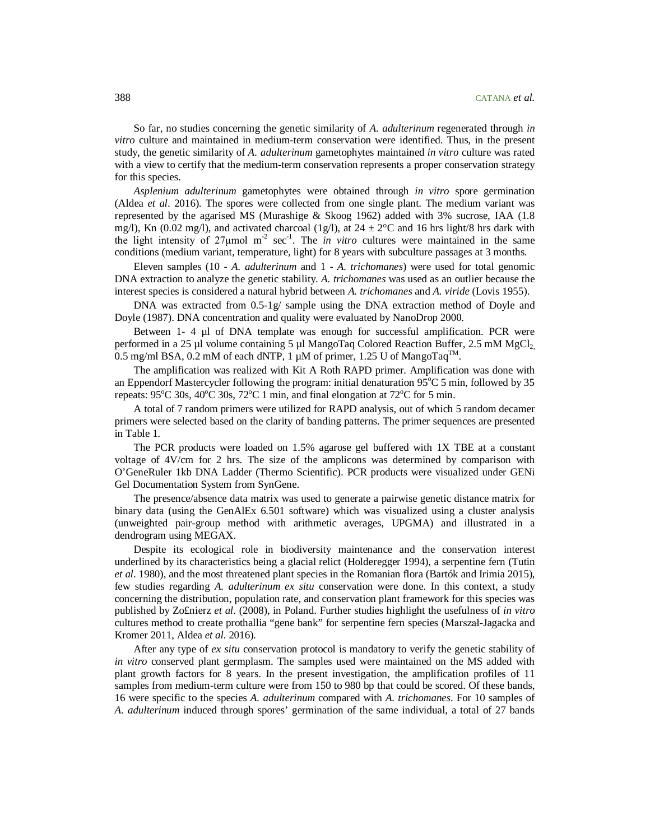So far, no studies concerning the genetic similarity of *A. adulterinum* regenerated through *in vitro* culture and maintained in medium-term conservation were identified. Thus, in the present study, the genetic similarity of *A. adulterinum* gametophytes maintained *in vitro* culture was rated with a view to certify that the medium-term conservation represents a proper conservation strategy for this species.

*Asplenium adulterinum* gametophytes were obtained through *in vitro* spore germination (Aldea *et al*. 2016). The spores were collected from one single plant. The medium variant was represented by the agarised MS (Murashige & Skoog 1962) added with 3% sucrose, IAA (1.8 mg/l), Kn (0.02 mg/l), and activated charcoal (1g/l), at  $24 \pm 2^{\circ}$ C and 16 hrs light/8 hrs dark with the light intensity of  $27\mu$ mol m<sup>-2</sup> sec<sup>-1</sup>. The *in vitro* cultures were maintained in the same conditions (medium variant, temperature, light) for 8 years with subculture passages at 3 months.

Eleven samples (10 - *A. adulterinum* and 1 - *A. trichomanes*) were used for total genomic DNA extraction to analyze the genetic stability. *A. trichomanes* was used as an outlier because the interest species is considered a natural hybrid between *A. trichomanes* and *A. viride* (Lovis 1955).

DNA was extracted from 0.5-1g/ sample using the DNA extraction method of Doyle and Doyle (1987). DNA concentration and quality were evaluated by NanoDrop 2000.

Between  $1-4$   $\mu$ l of DNA template was enough for successful amplification. PCR were performed in a 25 µl volume containing 5 µl MangoTaq Colored Reaction Buffer, 2.5 mM  $MgCl<sub>2</sub>$ 0.5 mg/ml BSA, 0.2 mM of each dNTP, 1  $\mu$ M of primer, 1.25 U of MangoTaq<sup>TM</sup>.

The amplification was realized with Kit A Roth RAPD primer. Amplification was done with an Eppendorf Mastercycler following the program: initial denaturation  $95^{\circ}$ C 5 min, followed by 35 repeats:  $95^{\circ}$ C 30s,  $40^{\circ}$ C 30s,  $72^{\circ}$ C 1 min, and final elongation at  $72^{\circ}$ C for 5 min.

A total of 7 random primers were utilized for RAPD analysis, out of which 5 random decamer primers were selected based on the clarity of banding patterns. The primer sequences are presented in Table 1.

The PCR products were loaded on 1.5% agarose gel buffered with 1X TBE at a constant voltage of 4V/cm for 2 hrs. The size of the amplicons was determined by comparison with O'GeneRuler 1kb DNA Ladder (Thermo Scientific). PCR products were visualized under GENi Gel Documentation System from SynGene.

The presence/absence data matrix was used to generate a pairwise genetic distance matrix for binary data (using the GenAlEx 6.501 software) which was visualized using a cluster analysis (unweighted pair-group method with arithmetic averages, UPGMA) and illustrated in a dendrogram using MEGAX.

Despite its ecological role in biodiversity maintenance and the conservation interest underlined by its characteristics being a glacial relict (Holderegger 1994), a serpentine fern (Tutin *et al*. 1980), and the most threatened plant species in the Romanian flora (Bartók and Irimia 2015), few studies regarding *A. adulterinum ex situ* conservation were done. In this context, a study concerning the distribution, population rate, and conservation plant framework for this species was published by Zo£nierz *et al*. (2008), in Poland. Further studies highlight the usefulness of *in vitro* cultures method to create prothallia "gene bank" for serpentine fern species (Marszał-Jagacka and Kromer 2011, Aldea *et al*. 2016).

After any type of *ex situ* conservation protocol is mandatory to verify the genetic stability of *in vitro* conserved plant germplasm. The samples used were maintained on the MS added with plant growth factors for 8 years. In the present investigation, the amplification profiles of 11 samples from medium-term culture were from 150 to 980 bp that could be scored. Of these bands, 16 were specific to the species *A. adulterinum* compared with *A. trichomanes*. For 10 samples of *A. adulterinum* induced through spores' germination of the same individual, a total of 27 bands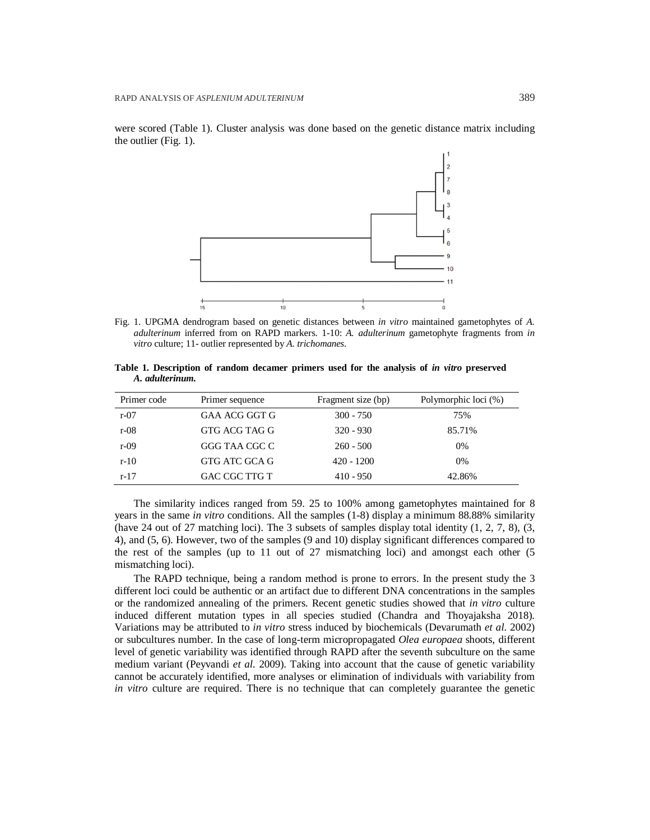were scored (Table 1). Cluster analysis was done based on the genetic distance matrix including the outlier (Fig. 1).



Fig. 1. UPGMA dendrogram based on genetic distances between *in vitro* maintained gametophytes of *A. adulterinum* inferred from on RAPD markers. 1-10: *A. adulterinum* gametophyte fragments from *in vitro* culture; 11- outlier represented by *A. trichomanes.*

**Table 1. Description of random decamer primers used for the analysis of** *in vitro* **preserved**  *A. adulterinum.*

| Primer code | Primer sequence | Fragment size (bp) | Polymorphic loci (%) |
|-------------|-----------------|--------------------|----------------------|
| $r-07$      | GAA ACG GGT G   | $300 - 750$        | 75%                  |
| $r-08$      | GTG ACG TAG G   | $320 - 930$        | 85.71%               |
| $r-09$      | GGG TAA CGC C   | $260 - 500$        | $0\%$                |
| $r-10$      | GTG ATC GCA G   | $420 - 1200$       | $0\%$                |
| $r-17$      | GAC CGC TTG T   | $410 - 950$        | 42.86%               |

The similarity indices ranged from 59. 25 to 100% among gametophytes maintained for 8 years in the same *in vitro* conditions. All the samples (1-8) display a minimum 88.88% similarity (have 24 out of 27 matching loci). The 3 subsets of samples display total identity  $(1, 2, 7, 8)$ ,  $(3, 7, 8)$ 4), and (5, 6). However, two of the samples (9 and 10) display significant differences compared to the rest of the samples (up to 11 out of 27 mismatching loci) and amongst each other (5 mismatching loci).

The RAPD technique, being a random method is prone to errors. In the present study the 3 different loci could be authentic or an artifact due to different DNA concentrations in the samples or the randomized annealing of the primers. Recent genetic studies showed that *in vitro* culture induced different mutation types in all species studied (Chandra and Thoyajaksha 2018). Variations may be attributed to *in vitro* stress induced by biochemicals (Devarumath *et al*. 2002) or subcultures number. In the case of long-term micropropagated *Olea europaea* shoots, different level of genetic variability was identified through RAPD after the seventh subculture on the same medium variant (Peyvandi *et al*. 2009). Taking into account that the cause of genetic variability cannot be accurately identified, more analyses or elimination of individuals with variability from *in vitro* culture are required. There is no technique that can completely guarantee the genetic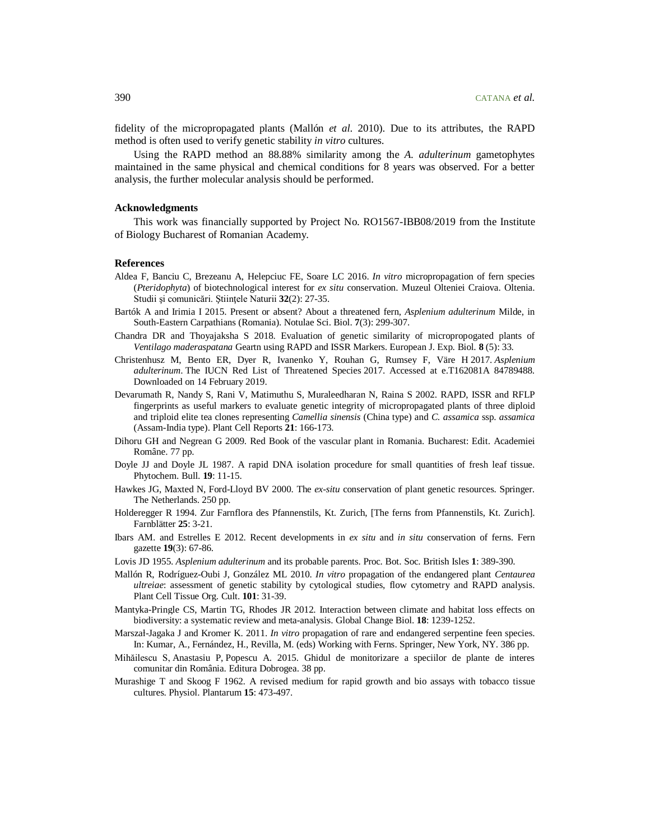fidelity of the micropropagated plants (Mallón *et al*. 2010). Due to its attributes, the RAPD method is often used to verify genetic stability *in vitro* cultures.

Using the RAPD method an 88.88% similarity among the *A. adulterinum* gametophytes maintained in the same physical and chemical conditions for 8 years was observed. For a better analysis, the further molecular analysis should be performed.

#### **Acknowledgments**

This work was financially supported by Project No. RO1567-IBB08/2019 from the Institute of Biology Bucharest of Romanian Academy.

### **References**

- Aldea F, Banciu C, Brezeanu A, Helepciuc FE, Soare LC 2016. *In vitro* micropropagation of fern species (*Pteridophyta*) of biotechnological interest for *ex situ* conservation. Muzeul Olteniei Craiova. Oltenia. Studii şi comunicări. Ştiinţele Naturii **32**(2): 27-35.
- Bartók A and Irimia I 2015. Present or absent? About a threatened fern, *Asplenium adulterinum* Milde, in South-Eastern Carpathians (Romania). Notulae Sci. Biol. **7**(3): 299-307.
- Chandra DR and Thoyajaksha S 2018. Evaluation of genetic similarity of micropropogated plants of *Ventilago maderaspatana* Geartn using RAPD and ISSR Markers*.* European J. Exp. Biol. **8** (5): 33.
- Christenhusz M, Bento ER, Dyer R, Ivanenko Y, Rouhan G, Rumsey F, Väre H 2017. *Asplenium adulterinum*. The IUCN Red List of Threatened Species 2017. Accessed at e.T162081A 84789488. Downloaded on 14 February 2019.
- Devarumath R, Nandy S, Rani V, Matimuthu S, Muraleedharan N, Raina S 2002. RAPD, ISSR and RFLP fingerprints as useful markers to evaluate genetic integrity of micropropagated plants of three diploid and triploid elite tea clones representing *Camellia sinensis* (China type) and *C. assamica* ssp. *assamica* (Assam-India type). Plant Cell Reports **21**: 166-173.
- Dihoru GH and Negrean G 2009. Red Book of the vascular plant in Romania. Bucharest: Edit. Academiei Române. 77 pp.
- Doyle JJ and Doyle JL 1987. A rapid DNA isolation procedure for small quantities of fresh leaf tissue. Phytochem. Bull. **19**: 11-15.
- Hawkes JG, Maxted N, Ford-Lloyd BV 2000. The *ex-situ* conservation of plant genetic resources. Springer. The Netherlands. 250 pp.
- Holderegger R 1994. Zur Farnflora des Pfannenstils, Kt. Zurich, [The ferns from Pfannenstils, Kt. Zurich]. Farnblätter **25**: 3-21.
- Ibars AM. and Estrelles E 2012. Recent developments in *ex situ* and *in situ* conservation of ferns. Fern gazette **19**(3): 67-86.
- Lovis JD 1955. *Asplenium adulterinum* and its probable parents. Proc. Bot. Soc. British Isles **1**: 389-390.
- Mallón R, Rodríguez-Oubi J, González ML 2010. *In vitro* propagation of the endangered plant *Centaurea ultreiae*: assessment of genetic stability by cytological studies, flow cytometry and RAPD analysis. Plant Cell Tissue Org. Cult. **101**: 31-39.
- Mantyka-Pringle CS, Martin TG, Rhodes JR 2012. Interaction between climate and habitat loss effects on biodiversity: a systematic review and meta-analysis. Global Change Biol. **18**: 1239-1252.
- Marszał-Jagaka J and Kromer K. 2011. *In vitro* propagation of rare and endangered serpentine feen species. In: Kumar, A., Fernández, H., Revilla, M. (eds) Working with Ferns. Springer, New York, NY. 386 pp.
- Mihăilescu S, Anastasiu P, Popescu A. 2015. Ghidul de monitorizare a speciilor de plante de interes comunitar din România. Editura Dobrogea. 38 pp.
- Murashige T and Skoog F 1962*.* A revised medium for rapid growth and bio assays with tobacco tissue cultures. Physiol. Plantarum **15**: 473-497.